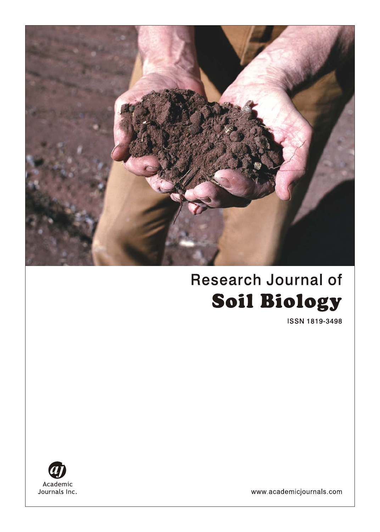

# **Research Journal of Soil Biology**

**ISSN 1819-3498** 



www.academicjournals.com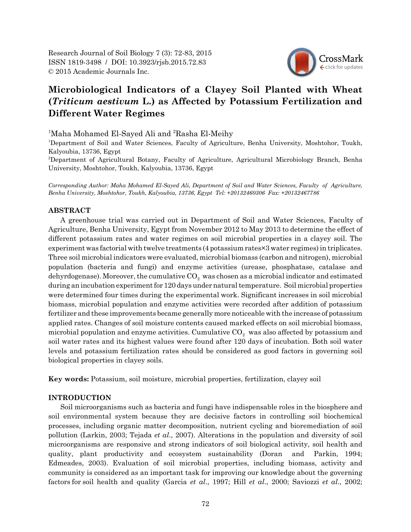Research Journal of Soil Biology 7 (3): 72-83, 2015 ISSN 1819-3498 / DOI: 10.3923/rjsb.2015.72.83 © 2015 Academic Journals Inc.



# **Microbiological Indicators of a Clayey Soil Planted with Wheat (***Triticum aestivum* **L.) as Affected by Potassium Fertilization and Different Water Regimes**

<sup>1</sup>Maha Mohamed El-Sayed Ali and <sup>2</sup>Rasha El-Meihy

1 Department of Soil and Water Sciences, Faculty of Agriculture, Benha University, Moshtohor, Toukh, Kalyoubia, 13736, Egypt

2 Department of Agricultural Botany, Faculty of Agriculture, Agricultural Microbiology Branch, Benha University, Moshtohor, Toukh, Kalyoubia, 13736, Egypt

*Corresponding Author: Maha Mohamed El-Sayed Ali, Department of Soil and Water Sciences, Faculty of Agriculture, Benha University, Moshtohor, Toukh, Kalyoubia, 13736, Egypt Tel: +20132460306 Fax: +20132467786*

# **ABSTRACT**

A greenhouse trial was carried out in Department of Soil and Water Sciences, Faculty of Agriculture, Benha University, Egypt from November 2012 to May 2013 to determine the effect of different potassium rates and water regimes on soil microbial properties in a clayey soil. The experiment was factorial with twelve treatments (4 potassium rates×3 water regimes) in triplicates. Three soil microbial indicators were evaluated, microbial biomass (carbon and nitrogen), microbial population (bacteria and fungi) and enzyme activities (urease, phosphatase, catalase and dehyrdogenase). Moreover, the cumulative  $CO<sub>2</sub>$  was chosen as a microbial indicator and estimated during an incubation experiment for 120 days under natural temperature. Soil microbial properties were determined four times during the experimental work. Significant increases in soil microbial biomass, microbial population and enzyme activities were recorded after addition of potassium fertilizer and these improvements became generally more noticeable with the increase of potassium applied rates. Changes of soil moisture contents caused marked effects on soil microbial biomass, microbial population and enzyme activities. Cumulative  $CO<sub>2</sub>$  was also affected by potassium and soil water rates and its highest values were found after 120 days of incubation. Both soil water levels and potassium fertilization rates should be considered as good factors in governing soil biological properties in clayey soils.

**Key words:** Potassium, soil moisture, microbial properties, fertilization, clayey soil

## **INTRODUCTION**

Soil microorganisms such as bacteria and fungi have indispensable roles in the biosphere and soil environmental system because they are decisive factors in controlling soil biochemical processes, including organic matter decomposition, nutrient cycling and bioremediation of soil pollution (Larkin, 2003; Tejada *et al*., 2007). Alterations in the population and diversity of soil microorganisms are responsive and strong indicators of soil biological activity, soil health and quality, plant productivity and ecosystem sustainability (Doran and Parkin, 1994; Edmeades, 2003). Evaluation of soil microbial properties, including biomass, activity and community is considered as an important task for improving our knowledge about the governing factors for soil health and quality (Garcia *et al*., 1997; Hill *et al*., 2000; Saviozzi *et al*., 2002;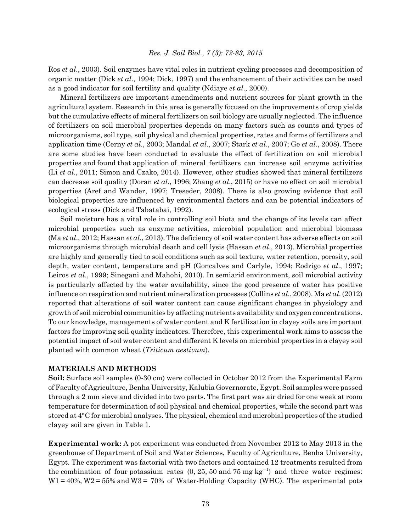Ros *et al*., 2003). Soil enzymes have vital roles in nutrient cycling processes and decomposition of organic matter (Dick *et al*., 1994; Dick, 1997) and the enhancement of their activities can be used as a good indicator for soil fertility and quality (Ndiaye *et al*., 2000).

Mineral fertilizers are important amendments and nutrient sources for plant growth in the agricultural system. Research in this area is generally focused on the improvements of crop yields but the cumulative effects of mineral fertilizers on soil biology are usually neglected. The influence of fertilizers on soil microbial properties depends on many factors such as counts and types of microorganisms, soil type, soil physical and chemical properties, rates and forms of fertilizers and application time (Cerny *et al*., 2003; Mandal *et al*., 2007; Stark *et al*., 2007; Ge *et al*., 2008). There are some studies have been conducted to evaluate the effect of fertilization on soil microbial properties and found that application of mineral fertilizers can increase soil enzyme activities (Li *et al*., 2011; Simon and Czako, 2014). However, other studies showed that mineral fertilizers can decrease soil quality (Doran *et al*., 1996; Zhang *et al*., 2015) or have no effect on soil microbial properties (Aref and Wander, 1997; Treseder, 2008). There is also growing evidence that soil biological properties are influenced by environmental factors and can be potential indicators of ecological stress (Dick and Tabatabai, 1992).

Soil moisture has a vital role in controlling soil biota and the change of its levels can affect microbial properties such as enzyme activities, microbial population and microbial biomass (Ma *et al*., 2012; Hassan *et al*., 2013). The deficiency of soil water content has adverse effects on soil microorganisms through microbial death and cell lysis (Hassan *et al*., 2013). Microbial properties are highly and generally tied to soil conditions such as soil texture, water retention, porosity, soil depth, water content, temperature and pH (Goncalves and Carlyle, 1994; Rodrigo *et al*., 1997; Leiros *et al*., 1999; Sinegani and Mahohi, 2010). In semiarid environment, soil microbial activity is particularly affected by the water availability, since the good presence of water has positive influence on respiration and nutrient mineralization processes (Collins *et al*., 2008). Ma *et al*. (2012) reported that alterations of soil water content can cause significant changes in physiology and growth of soil microbial communities by affecting nutrients availability and oxygen concentrations. To our knowledge, managements of water content and K fertilization in clayey soils are important factors for improving soil quality indicators. Therefore, this experimental work aims to assess the potential impact of soil water content and different K levels on microbial properties in a clayey soil planted with common wheat (*Triticum aestivum*).

#### **MATERIALS AND METHODS**

**Soil:** Surface soil samples (0-30 cm) were collected in October 2012 from the Experimental Farm of Faculty of Agriculture, Benha University, Kalubia Governorate, Egypt. Soil samples were passed through a 2 mm sieve and divided into two parts. The first part was air dried for one week at room temperature for determination of soil physical and chemical properties, while the second part was stored at 4°C for microbial analyses. The physical, chemical and microbial properties of the studied clayey soil are given in Table 1.

**Experimental work:** A pot experiment was conducted from November 2012 to May 2013 in the greenhouse of Department of Soil and Water Sciences, Faculty of Agriculture, Benha University, Egypt. The experiment was factorial with two factors and contained 12 treatments resulted from the combination of four potassium rates  $(0, 25, 50 \text{ and } 75 \text{ mg kg}^{-1})$  and three water regimes:  $W1 = 40\%$ ,  $W2 = 55\%$  and  $W3 = 70\%$  of Water-Holding Capacity (WHC). The experimental pots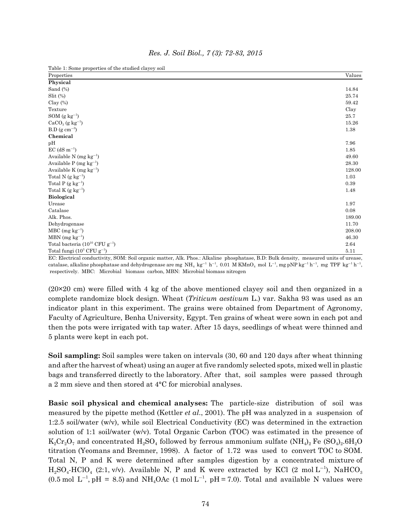| Table 1: Some properties of the studied clayey soil |        |
|-----------------------------------------------------|--------|
| Properties                                          | Values |
| Physical                                            |        |
| Sand (%)                                            | 14.84  |
| $\mathrm{Slit}$ $(\%)$                              | 25.74  |
| Clay $(\%)$                                         | 59.42  |
| Texture                                             | Clay   |
| $\text{SOM}\;(\text{g}\;\text{kg}^{-1})$            | 25.7   |
| $CaCO3$ (g kg <sup>-1</sup> )                       | 15.26  |
| $B.D (g cm-3)$                                      | 1.38   |
| Chemical                                            |        |
| pH                                                  | 7.96   |
| $EC$ (dS m <sup>-1</sup> )                          | 1.85   |
| Available N (mg $kg^{-1}$ )                         | 49.60  |
| Available P (mg $kg^{-1}$ )                         | 28.30  |
| Available K (mg $kg^{-1}$ )                         | 128.00 |
| Total N $(g \ kg^{-1})$                             | 1.03   |
| Total P $(g \ kg^{-1})$                             | 0.39   |
| Total K $(g \text{ kg}^{-1})$                       | 1.48   |
| <b>Biological</b>                                   |        |
| Urease                                              | 1.97   |
| Catalase                                            | 0.08   |
| Alk. Phos.                                          | 189.00 |
| Dehydrogenase                                       | 11.70  |
| $MBC$ (mg kg <sup>-1</sup> )                        | 208.00 |
| $MBN$ (mg kg <sup>-1</sup> )                        | 46.30  |
| Total bacteria $(10^{10}$ CFU $g^{-1}$ )            | 2.64   |
| Total fungi $(10^3 \text{ CFU g}^{-1})$             | 5.11   |

*Res. J. Soil Biol., 7 (3): 72-83, 2015*

Table 1: Some properties of the studied clayey soil

EC: Electrical conductivity, SOM: Soil organic matter, Alk. Phos.: Alkaline phosphatase, B.D: Bulk density, measured units of urease, catalase, alkaline phosphatase and dehydrogenase are mg  $\rm NH_4$  kg $^{-1}$  h $^{-1}$ , 0.01 M KMnO $_4$  mol  $\rm L^{-1}$ , mg pNP kg $^{-1}$  h $^{-1}$ , mg TPF kg $^{-1}$  h $^{-1}$ , respectively. MBC: Microbial biomass carbon, MBN: Microbial biomass nitrogen

(20×20 cm) were filled with 4 kg of the above mentioned clayey soil and then organized in a complete randomize block design. Wheat (*Triticum aestivum* L.) var. Sakha 93 was used as an indicator plant in this experiment. The grains were obtained from Department of Agronomy, Faculty of Agriculture, Benha University, Egypt. Ten grains of wheat were sown in each pot and then the pots were irrigated with tap water. After 15 days, seedlings of wheat were thinned and 5 plants were kept in each pot.

**Soil sampling:** Soil samples were taken on intervals (30, 60 and 120 days after wheat thinning and after the harvest of wheat) using an auger at five randomly selected spots, mixed well in plastic bags and transferred directly to the laboratory. After that, soil samples were passed through a 2 mm sieve and then stored at 4°C for microbial analyses.

**Basic soil physical and chemical analyses:** The particle-size distribution of soil was measured by the pipette method (Kettler *et al*., 2001). The pH was analyzed in a suspension of 1:2.5 soil/water (w/v), while soil Electrical Conductivity (EC) was determined in the extraction solution of 1:1 soil/water (w/v). Total Organic Carbon (TOC) was estimated in the presence of  $K_2Cr_2O_7$  and concentrated  $H_2SO_4$  followed by ferrous ammonium sulfate (NH<sub>4</sub>)<sub>2</sub> Fe (SO<sub>4</sub>)<sub>2</sub>.6H<sub>2</sub>O titration (Yeomans and Bremner, 1998). A factor of 1.72 was used to convert TOC to SOM. Total N, P and K were determined after samples digestion by a concentrated mixture of  $H_2SO_4$ -HClO<sub>4</sub> (2:1, v/v). Available N, P and K were extracted by KCl (2 mol L<sup>-1</sup>), NaHCO<sub>3</sub>  $(0.5 \text{ mol L}^{-1}, \text{pH} = 8.5)$  and NH<sub>4</sub>OAc  $(1 \text{ mol L}^{-1}, \text{pH} = 7.0)$ . Total and available N values were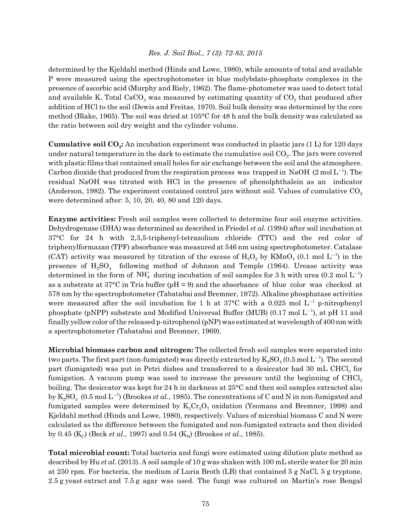determined by the Kjeldahl method (Hinds and Lowe, 1980), while amounts of total and available P were measured using the spectrophotometer in blue molybdate-phosphate complexes in the presence of ascorbic acid (Murphy and Riely, 1962). The flame-photometer was used to detect total and available K. Total  $CaCO<sub>3</sub>$  was measured by estimating quantity of  $CO<sub>2</sub>$  that produced after addition of HCl to the soil (Dewis and Freitas, 1970). Soil bulk density was determined by the core method (Blake, 1965). The soil was dried at 105°C for 48 h and the bulk density was calculated as the ratio between soil dry weight and the cylinder volume.

**Cumulative soil CO2:** An incubation experiment was conducted in plastic jars (1 L) for 120 days under natural temperature in the dark to estimate the cumulative soil  $CO<sub>2</sub>$ . The jars were covered with plastic films that contained small holes for air exchange between the soil and the atmosphere. Carbon dioxide that produced from the respiration process was trapped in NaOH  $(2 \text{ mol L}^{-1})$ . The residual NaOH was titrated with HCl in the presence of phenolphthalein as an indicator (Anderson, 1982). The experiment contained control jars without soil. Values of cumulative  $CO<sub>2</sub>$ were determined after: 5, 10, 20, 40, 80 and 120 days.

**Enzyme activities:** Fresh soil samples were collected to determine four soil enzyme activities. Dehydrogenase (DHA) was determined as described in Friedel *et al*. (1994) after soil incubation at 37°C for 24 h with 2,3,5-triphenyl-tetrazolium chloride (TTC) and the red color of triphenylformazan (TPF) absorbance was measured at 546 nm using spectrophotometer. Catalase (CAT) activity was measured by titration of the excess of  $H_2O_2$  by KMnO<sub>4</sub> (0.1 mol L<sup>-1</sup>) in the presence of  $H_2SO_4$  following method of Johnson and Temple (1964). Urease activity was determined in the form of  $NH<sub>4</sub><sup>+</sup>$  during incubation of soil samples for 3 h with urea (0.2 mol  $L^{-1}$ ) as a substrate at  $37^{\circ}$ C in Tris buffer (pH = 9) and the absorbance of blue color was checked at 578 nm by the spectrophotometer (Tabatabai and Bremner, 1972). Alkaline phosphatase activities were measured after the soil incubation for 1 h at  $37^{\circ}$ C with a 0.025 mol L<sup>-1</sup> p-nitrophenyl phosphate (pNPP) substrate and Modified Universal Buffer (MUB)  $(0.17 \text{ mol L}^{-1})$ , at pH 11 and finally yellow color of the released p-nitrophenol (pNP) was estimated at wavelength of 400 nm with a spectrophotometer (Tabatabai and Bremner, 1969).

**Microbial biomass carbon and nitrogen:** The collected fresh soil samples were separated into two parts. The first part (non-fumigated) was directly extracted by  $\mathrm{K_2SO_4}$  (0.5 mol  $\mathrm{L^{-1}}$ ). The second part (fumigated) was put in Petri dishes and transferred to a desiccator had  $30 \text{ mL } CHCl<sub>3</sub>$  for fumigation. A vacuum pump was used to increase the pressure until the beginning of  $CHCl<sub>3</sub>$ boiling. The desiccator was kept for 24 h in darkness at 25°C and then soil samples extracted also by  $\mathrm{K_2SO_4}\,\, (0.5\,\mathrm{mol\,L^{-1}})$  (Brookes  $et\, al.,$  1985). The concentrations of C and N in non-fumigated and fumigated samples were determined by  $K_2Cr_2O_7$  oxidation (Yeomans and Bremner, 1998) and Kjeldahl method (Hinds and Lowe, 1980), respectively. Values of microbial biomass C and N were calculated as the difference between the fumigated and non-fumigated extracts and then divided by 0.45 ( $K_c$ ) (Beck *et al.*, 1997) and 0.54 ( $K_N$ ) (Brookes *et al.*, 1985).

**Total microbial count:** Total bacteria and fungi were estimated using dilution plate method as described by Hu *et al*. (2013). A soil sample of 10 g was shaken with 100 mL sterile water for 20 min at 250 rpm. For bacteria, the medium of Luria Broth (LB) that contained 5 g NaCl, 5 g tryptone, 2.5 g yeast extract and 7.5 g agar was used. The fungi was cultured on Martin's rose Bengal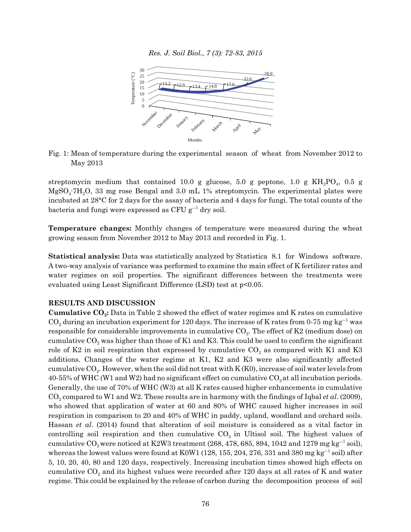

Fig. 1: Mean of temperature during the experimental season of wheat from November 2012 to May 2013

streptomycin medium that contained 10.0 g glucose, 5.0 g peptone, 1.0 g  $KH<sub>2</sub>PO<sub>4</sub>$ , 0.5 g  $MgSO<sub>4</sub>7H<sub>2</sub>O$ , 33 mg rose Bengal and 3.0 mL 1% streptomycin. The experimental plates were incubated at 28°C for 2 days for the assay of bacteria and 4 days for fungi. The total counts of the bacteria and fungi were expressed as CFU  $\rm g^{-1}$  dry soil.

**Temperature changes:** Monthly changes of temperature were measured during the wheat growing season from November 2012 to May 2013 and recorded in Fig. 1.

**Statistical analysis:** Data was statistically analyzed by Statistica 8.1 for Windows software. A two-way analysis of variance was performed to examine the main effect of K fertilizer rates and water regimes on soil properties. The significant differences between the treatments were evaluated using Least Significant Difference (LSD) test at p<0.05.

#### **RESULTS AND DISCUSSION**

**Cumulative CO2:** Data in Table 2 showed the effect of water regimes and K rates on cumulative  $\mathrm{CO}_2$  during an incubation experiment for 120 days. The increase of K rates from 0-75 mg kg<sup>-1</sup> was responsible for considerable improvements in cumulative  $CO_2$ . The effect of K2 (medium dose) on cumulative  $CO_2$  was higher than those of K1 and K3. This could be used to confirm the significant role of K2 in soil respiration that expressed by cumulative  $CO_2$  as compared with K1 and K3 additions. Changes of the water regime at K1, K2 and K3 were also significantly affected cumulative  $CO<sub>2</sub>$ . However, when the soil did not treat with K (K0), increase of soil water levels from  $40-55\%$  of WHC (W1 and W2) had no significant effect on cumulative  $CO<sub>2</sub>$  at all incubation periods. Generally, the use of 70% of WHC (W3) at all K rates caused higher enhancements in cumulative CO2 compared to W1 and W2. These results are in harmony with the findings of Iqbal *et al*. (2009), who showed that application of water at 60 and 80% of WHC caused higher increases in soil respiration in comparison to 20 and 40% of WHC in paddy, upland, woodland and orchard soils. Hassan *et al*. (2014) found that alteration of soil moisture is considered as a vital factor in controlling soil respiration and then cumulative  $CO<sub>2</sub>$  in Ultisol soil. The highest values of cumulative  $\mathrm{CO}_2$ were noticed at K2W3 treatment (268, 478, 685, 894, 1042 and 1279 mg kg $^{-1}$  soil), whereas the lowest values were found at K0W1 (128, 155, 204, 276, 331 and 380 mg kg $^{-1}$  soil) after 5, 10, 20, 40, 80 and 120 days, respectively. Increasing incubation times showed high effects on cumulative  $CO<sub>2</sub>$  and its highest values were recorded after 120 days at all rates of K and water regime. This could be explained by the release of carbon during the decomposition process of soil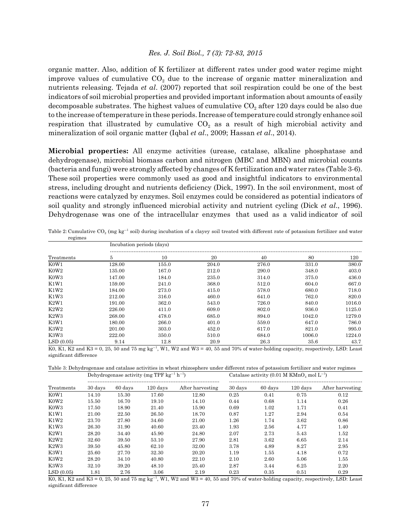organic matter. Also, addition of K fertilizer at different rates under good water regime might improve values of cumulative  $CO<sub>2</sub>$  due to the increase of organic matter mineralization and nutrients releasing. Tejada *et al*. (2007) reported that soil respiration could be one of the best indicators of soil microbial properties and provided important information about amounts of easily decomposable substrates. The highest values of cumulative  $CO<sub>2</sub>$  after 120 days could be also due to the increase of temperature in these periods. Increase of temperature could strongly enhance soil respiration that illustrated by cumulative  $CO<sub>2</sub>$  as a result of high microbial activity and mineralization of soil organic matter (Iqbal *et al*., 2009; Hassan *et al*., 2014).

**Microbial properties:** All enzyme activities (urease, catalase, alkaline phosphatase and dehydrogenase), microbial biomass carbon and nitrogen (MBC and MBN) and microbial counts (bacteria and fungi) were strongly affected by changes of K fertilization and water rates (Table 3-6). These soil properties were commonly used as good and insightful indicators to environmental stress, including drought and nutrients deficiency (Dick, 1997). In the soil environment, most of reactions were catalyzed by enzymes. Soil enzymes could be considered as potential indicators of soil quality and strongly influenced microbial activity and nutrient cycling (Dick *et al*., 1996). Dehydrogenase was one of the intracellular enzymes that used as a valid indicator of soil

|                  | $10$ $\leq$ $11100$<br>Incubation periods (days) |                     |       |       |        |        |  |  |  |  |  |
|------------------|--------------------------------------------------|---------------------|-------|-------|--------|--------|--|--|--|--|--|
| Treatments       | 5                                                | 10                  | 20    | 40    | 80     | 120    |  |  |  |  |  |
| K0W1             | 128.00                                           | 155.0               | 204.0 | 276.0 | 331.0  | 380.0  |  |  |  |  |  |
| K0W <sub>2</sub> | 135.00                                           | 167.0               | 212.0 | 290.0 | 348.0  | 403.0  |  |  |  |  |  |
| K0W3             | 147.00                                           | 184.0               | 235.0 | 314.0 | 375.0  | 436.0  |  |  |  |  |  |
| K1W1             | 159.00                                           | 241.0               | 368.0 | 512.0 | 604.0  | 667.0  |  |  |  |  |  |
| K1W2             | 184.00                                           | 273.0               | 415.0 | 578.0 | 680.0  | 718.0  |  |  |  |  |  |
| K1W3             | 212.00                                           | 316.0               | 460.0 | 641.0 | 762.0  | 820.0  |  |  |  |  |  |
| K2W1             | 191.00                                           | 362.0               | 543.0 | 726.0 | 840.0  | 1016.0 |  |  |  |  |  |
| K2W2             | 226.00                                           | 411.0               | 609.0 | 802.0 | 936.0  | 1125.0 |  |  |  |  |  |
| K2W3             | 268.00                                           | 478.0               | 685.0 | 894.0 | 1042.0 | 1279.0 |  |  |  |  |  |
| K3W1             | 180.00                                           | 266.0               | 401.0 | 559.0 | 647.0  | 786.0  |  |  |  |  |  |
| K3W2             | 201.00                                           | 303.0               | 452.0 | 617.0 | 821.0  | 995.0  |  |  |  |  |  |
| K3W3             | 222.00                                           | 350.0               | 510.0 | 684.0 | 1006.0 | 1224.0 |  |  |  |  |  |
| LSD(0.05)        | 9.14                                             | 12.8<br>1 www. www. | 20.9  | 26.3  | 35.6   | 43.7   |  |  |  |  |  |

Table 2: Cumulative CO<sub>2</sub> (mg kg<sup>-1</sup> soil) during incubation of a clayey soil treated with different rate of potassium fertilizer and water regimes

K0, K1, K2 and K3 = 0, 25, 50 and 75 mg kg<sup>-1</sup>, W1, W2 and W3 = 40, 55 and 70% of water-holding capacity, respectively, LSD: Least significant difference

Table 3: Dehydrogenase and catalase activities in wheat rhizosphere under different rates of potassium fertilizer and water regimes Dehydrogenase activity (mg TPF kg<sup>-1</sup> h<sup>-1</sup>  $\rm{Catalase\ activity}$  (0.01 M  $\rm{KMnO_4}$  mol  $\rm{L}^{-1})$ 

| Treatments                    | 30 days | 60 days | $120$ days | After harvesting | 30 days | 60 days | 120 days | After harvesting |
|-------------------------------|---------|---------|------------|------------------|---------|---------|----------|------------------|
| K <sub>0</sub> W <sub>1</sub> | 14.10   | 15.30   | 17.60      | 12.80            | 0.25    | 0.41    | 0.75     | 0.12             |
| K0W <sub>2</sub>              | 15.50   | 16.70   | 19.10      | 14.10            | 0.44    | 0.68    | 1.14     | 0.26             |
| K0W3                          | 17.50   | 18.90   | 21.40      | 15.90            | 0.69    | 1.02    | 1.71     | 0.41             |
| K1W1                          | 21.00   | 22.50   | 26.50      | 18.70            | 0.87    | 1.27    | 2.94     | 0.54             |
| K1W2                          | 23.70   | 27.80   | 34.60      | 21.00            | 1.26    | 1.74    | 3.62     | 0.86             |
| K1W3                          | 26.30   | 31.90   | 40.60      | 23.40            | 1.93    | 2.56    | 4.77     | 1.40             |
| K2W1                          | 28.20   | 34.40   | 45.90      | 24.80            | 2.07    | 2.73    | 5.43     | 1.52             |
| K2W2                          | 32.60   | 39.50   | 53.10      | 27.90            | 2.81    | 3.62    | 6.65     | 2.14             |
| K2W3                          | 39.50   | 45.80   | 62.10      | 32.00            | 3.78    | 4.89    | 8.27     | 2.95             |
| K3W1                          | 25.60   | 27.70   | 32.30      | 20.20            | 1.19    | 1.55    | 4.18     | 0.72             |
| K3W2                          | 28.20   | 34.10   | 40.80      | 22.10            | 2.10    | 2.60    | 5.06     | 1.55             |
| K <sub>3</sub> W <sub>3</sub> | 32.10   | 39.20   | 48.10      | 25.40            | 2.87    | 3.44    | 6.25     | 2.20             |
| LSD(0.05)                     | 1.81    | 2.76    | 3.06       | 2.19             | 0.23    | 0.35    | 0.51     | 0.29             |

 $K0$ ,  $K1$ ,  $K2$  and  $K3 = 0$ ,  $25$ ,  $50$  and  $75$  mg  $kg^{-1}$ ,  $W1$ ,  $W2$  and  $W3 = 40$ ,  $55$  and  $70%$  of water-holding capacity, respectively, LSD: Least significant difference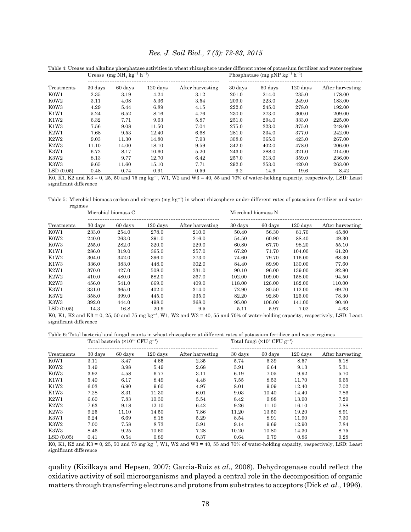| Treatments                    |         | Urease $(mg NH4 kg-1 h-1)$ |            |                  | Phosphatase (mg pNP $kg^{-1} h^{-1}$ ) |         |          |                  |
|-------------------------------|---------|----------------------------|------------|------------------|----------------------------------------|---------|----------|------------------|
|                               | 30 days | 60 days                    | $120$ days | After harvesting | 30 days                                | 60 days | 120 days | After harvesting |
| K <sub>0</sub> W <sub>1</sub> | 2.35    | 3.19                       | 4.24       | 3.12             | 201.0                                  | 214.0   | 235.0    | 178.00           |
| K0W2                          | 3.11    | 4.08                       | 5.36       | 3.54             | 209.0                                  | 223.0   | 249.0    | 183.00           |
| K0W3                          | 4.29    | 5.44                       | 6.89       | 4.15             | 222.0                                  | 245.0   | 278.0    | 192.00           |
| K1W1                          | 5.24    | 6.52                       | 8.16       | 4.76             | 230.0                                  | 273.0   | 300.0    | 209.00           |
| K1W2                          | 6.32    | 7.71                       | 9.63       | 5.87             | 251.0                                  | 294.0   | 333.0    | 225.00           |
| K1W3                          | 7.56    | 9.08                       | 11.50      | 7.04             | 275.0                                  | 323.0   | 375.0    | 248.00           |
| K2W1                          | 7.68    | 9.53                       | 12.40      | 6.68             | 281.0                                  | 334.0   | 377.0    | 242.00           |
| K2W2                          | 9.03    | 11.30                      | 14.80      | 7.93             | 308.0                                  | 365.0   | 423.0    | 267.00           |
| K2W3                          | 11.10   | 14.00                      | 18.10      | 9.59             | 342.0                                  | 402.0   | 478.0    | 206.00           |
| K3W1                          | 6.72    | 8.17                       | 10.60      | 5.20             | 243.0                                  | 288.0   | 321.0    | 214.00           |
| K3W2                          | 8.13    | 9.77                       | 12.70      | 6.42             | 257.0                                  | 313.0   | 359.0    | 236.00           |
| K3W3                          | 9.65    | 11.60                      | 15.10      | 7.71             | 292.0                                  | 353.0   | 420.0    | 263.00           |
| LSD(0.05)                     | 0.48    | 0.74                       | 0.91       | 0.59             | 92                                     | 149     | 196      | 8.42             |

Table 4: Urease and alkaline phosphatase activities in wheat rhizosphere under different rates of potassium fertilizer and water regimes

 $\text{LSD}(0.05)$  0.48 0.74 0.91 0.59 9.2 14.9 19.6 8.42

K0, K1, K2 and K3 = 0, 25, 50 and 75 mg  $kg^{-1}$ , W1, W2 and W3 = 40, 55 and 70% of water-holding capacity, respectively, LSD: Least significant difference

Table 5: Microbial biomass carbon and nitrogen (mg  $kg^{-1}$ ) in wheat rhizosphere under different rates of potassium fertilizer and water regimes

| Treatments |         | Microbial biomass C |            |                  | Microbial biomass N |         |          |                  |
|------------|---------|---------------------|------------|------------------|---------------------|---------|----------|------------------|
|            | 30 days | 60 days             | $120$ days | After harvesting | 30 days             | 60 days | 120 days | After harvesting |
| K0W1       | 233.0   | 254.0               | 278.0      | 210.0            | 50.40               | 56.30   | 81.70    | 45.80            |
| K0W2       | 240.0   | 263.0               | 291.0      | 216.0            | 54.50               | 60.90   | 88.40    | 49.30            |
| K0W3       | 255.0   | 282.0               | 320.0      | 229.0            | 60.80               | 67.70   | 98.20    | 55.10            |
| K1W1       | 286.0   | 319.0               | 365.0      | 257.0            | 67.20               | 71.70   | 104.00   | 61.20            |
| K1W2       | 304.0   | 342.0               | 396.0      | 273.0            | 74.60               | 79.70   | 116.00   | 68.30            |
| K1W3       | 336.0   | 383.0               | 448.0      | 302.0            | 84.40               | 89.90   | 130.00   | 77.60            |
| K2W1       | 370.0   | 427.0               | 508.0      | 331.0            | 90.10               | 96.00   | 139.00   | 82.90            |
| K2W2       | 410.0   | 480.0               | 582.0      | 367.0            | 102.00              | 109.00  | 158.00   | 94.50            |
| K2W3       | 456.0   | 541.0               | 669.0      | 409.0            | 118.00              | 126.00  | 182.00   | 110.00           |
| K3W1       | 331.0   | 365.0               | 402.0      | 314.0            | 72.90               | 80.50   | 112.00   | 69.70            |
| K3W2       | 358.0   | 399.0               | 445.0      | 335.0            | 82.20               | 92.80   | 126.00   | 78.30            |
| K3W3       | 392.0   | 444.0               | 498.0      | 368.0            | 95.00               | 106.00  | 141.00   | 90.40            |
| LSD(0.05)  | 14.3    | 16.8                | 20.9       | 9.5              | 5.11                | 5.97    | 7.02     | 4.63             |

K0, K1, K2 and K3 = 0, 25, 50 and 75 mg  $kg^{-1}$ , W1, W2 and W3 = 40, 55 and 70% of water-holding capacity, respectively, LSD: Least significant difference

Table 6: Total bacterial and fungal counts in wheat rhizosphere at different rates of potassium fertilizer and water regimes

| Treatments                    |         | Total bacteria $(\times 10^{10}$ CFU g <sup>-1</sup> ) |            |                  | Total fungi $(\times 10^3$ CFU g <sup>-1</sup> ) |         |                    |                  |
|-------------------------------|---------|--------------------------------------------------------|------------|------------------|--------------------------------------------------|---------|--------------------|------------------|
|                               | 30 days | 60 days                                                | $120$ days | After harvesting | 30 days                                          | 60 days | $120 \text{ days}$ | After harvesting |
| K <sub>0</sub> W <sub>1</sub> | 3.11    | 3.47                                                   | 4.65       | 2.35             | 5.74                                             | 6.39    | 8.57               | 5.18             |
| K0W2                          | 3.49    | 3.98                                                   | 5.49       | 2.68             | 5.91                                             | 6.64    | 9.13               | 5.31             |
| K0W3                          | 3.92    | 4.58                                                   | 6.77       | 3.11             | 6.19                                             | 7.05    | 9.92               | 5.70             |
| K1W1                          | 5.40    | 6.17                                                   | 8.49       | 4.48             | 7.55                                             | 8.53    | 11.70              | 6.65             |
| K1W2                          | 6.03    | 6.90                                                   | 9.60       | 4.97             | 8.01                                             | 9.09    | 12.40              | 7.02             |
| K1W3                          | 7.28    | 8.31                                                   | 11.30      | 6.01             | 9.03                                             | 10.40   | 14.40              | 7.86             |
| K2W1                          | 6.60    | 7.83                                                   | 10.30      | 5.54             | 8.42                                             | 9.88    | 13.90              | 7.29             |
| K2W2                          | 7.63    | 9.18                                                   | 12.10      | 6.42             | 9.26                                             | 11.10   | 16.10              | 7.88             |
| K2W3                          | 9.25    | 11.10                                                  | 14.50      | 7.86             | 11.20                                            | 13.50   | 19.20              | 8.91             |
| K3W1                          | 6.24    | 6.69                                                   | 8.18       | 5.29             | 8.54                                             | 8.91    | 11.90              | 7.30             |
| K3W2                          | 7.00    | 7.58                                                   | 8.73       | 5.91             | 9.14                                             | 9.69    | 12.90              | 7.84             |
| K3W3                          | 8.46    | 9.25                                                   | 10.60      | 7.28             | 10.20                                            | 10.80   | 14.30              | 8.75             |
| LSD(0.05)                     | 0.41    | 0.54                                                   | 0.89       | 0.37             | 0.64                                             | 0.79    | 0.86               | 0.28             |

 $K0$ ,  $K1$ ,  $K2$  and  $K3 = 0$ ,  $25$ ,  $50$  and  $75$  mg  $kg^{-1}$ ,  $W1$ ,  $W2$  and  $W3 = 40$ ,  $55$  and  $70%$  of water-holding capacity, respectively, LSD: Least significant difference

quality (Kizilkaya and Hepsen, 2007; Garcia-Ruiz *et al*., 2008). Dehydrogenase could reflect the oxidative activity of soil microorganisms and played a central role in the decomposition of organic matters through transferring electrons and protons from substrates to acceptors (Dick *et al*., 1996).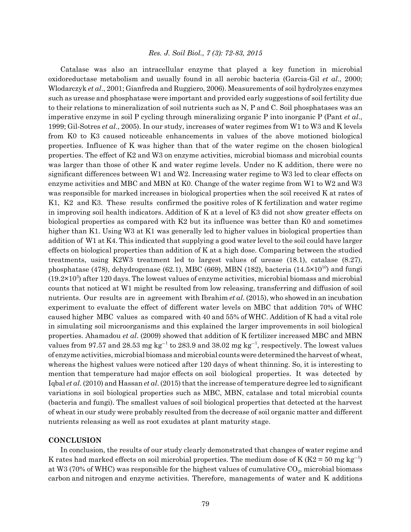Catalase was also an intracellular enzyme that played a key function in microbial oxidoreductase metabolism and usually found in all aerobic bacteria (Garcia-Gil *et al*., 2000; Wlodarczyk *et al*., 2001; Gianfreda and Ruggiero, 2006). Measurements of soil hydrolyzes enzymes such as urease and phosphatase were important and provided early suggestions of soil fertility due to their relations to mineralization of soil nutrients such as N, P and C. Soil phosphatases was an imperative enzyme in soil P cycling through mineralizing organic P into inorganic P (Pant *et al*., 1999; Gil-Sotres *et al*., 2005). In our study, increases of water regimes from W1 to W3 and K levels from K0 to K3 caused noticeable enhancements in values of the above motioned biological properties. Influence of K was higher than that of the water regime on the chosen biological properties. The effect of K2 and W3 on enzyme activities, microbial biomass and microbial counts was larger than those of other K and water regime levels. Under no K addition, there were no significant differences between W1 and W2. Increasing water regime to W3 led to clear effects on enzyme activities and MBC and MBN at K0. Change of the water regime from W1 to W2 and W3 was responsible for marked increases in biological properties when the soil received K at rates of K1, K2 and K3. These results confirmed the positive roles of K fertilization and water regime in improving soil health indicators. Addition of K at a level of K3 did not show greater effects on biological properties as compared with K2 but its influence was better than K0 and sometimes higher than K1. Using W3 at K1 was generally led to higher values in biological properties than addition of W1 at K4. This indicated that supplying a good water level to the soil could have larger effects on biological properties than addition of K at a high dose. Comparing between the studied treatments, using K2W3 treatment led to largest values of urease (18.1), catalase (8.27), phosphatase (478), dehydrogenase (62.1), MBC (669), MBN (182), bacteria (14.5×10<sup>10</sup>) and fungi  $(19.2\times10^{3})$  after 120 days. The lowest values of enzyme activities, microbial biomass and microbial counts that noticed at W1 might be resulted from low releasing, transferring and diffusion of soil nutrients. Our results are in agreement with Ibrahim *et al*. (2015), who showed in an incubation experiment to evaluate the effect of different water levels on MBC that addition 70% of WHC caused higher MBC values as compared with 40 and 55% of WHC. Addition of K had a vital role in simulating soil microorganisms and this explained the larger improvements in soil biological properties. Ahamadou *et al*. (2009) showed that addition of K fertilizer increased MBC and MBN values from 97.57 and 28.53 mg  $\text{kg}^{-1}$  to 283.9 and 38.02 mg  $\text{kg}^{-1}$ , respectively. The lowest values of enzyme activities, microbial biomass and microbial counts were determined the harvest of wheat, whereas the highest values were noticed after 120 days of wheat thinning. So, it is interesting to mention that temperature had major effects on soil biological properties. It was detected by Iqbal *et al*. (2010) and Hassan *et al*. (2015) that the increase of temperature degree led to significant variations in soil biological properties such as MBC, MBN, catalase and total microbial counts (bacteria and fungi). The smallest values of soil biological properties that detected at the harvest of wheat in our study were probably resulted from the decrease of soil organic matter and different nutrients releasing as well as root exudates at plant maturity stage.

#### **CONCLUSION**

In conclusion, the results of our study clearly demonstrated that changes of water regime and K rates had marked effects on soil microbial properties. The medium dose of K ( $K2 = 50$  mg kg<sup>-1</sup>) at W3 (70% of WHC) was responsible for the highest values of cumulative  $CO<sub>2</sub>$ , microbial biomass carbon and nitrogen and enzyme activities. Therefore, managements of water and K additions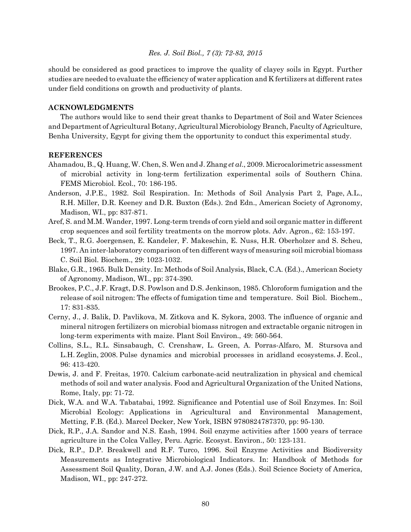should be considered as good practices to improve the quality of clayey soils in Egypt. Further studies are needed to evaluate the efficiency of water application and K fertilizers at different rates under field conditions on growth and productivity of plants.

#### **ACKNOWLEDGMENTS**

The authors would like to send their great thanks to Department of Soil and Water Sciences and Department of Agricultural Botany, Agricultural Microbiology Branch, Faculty of Agriculture, Benha University, Egypt for giving them the opportunity to conduct this experimental study.

#### **REFERENCES**

- Ahamadou, B., Q. Huang, W. Chen, S. Wen and J. Zhang *et al*., 2009. Microcalorimetric assessment of microbial activity in long-term fertilization experimental soils of Southern China. FEMS Microbiol. Ecol., 70: 186-195.
- Anderson, J.P.E., 1982. Soil Respiration. In: Methods of Soil Analysis Part 2, Page, A.L., R.H. Miller, D.R. Keeney and D.R. Buxton (Eds.). 2nd Edn., American Society of Agronomy, Madison, WI., pp: 837-871.
- Aref, S. and M.M. Wander, 1997. Long-term trends of corn yield and soil organic matter in different crop sequences and soil fertility treatments on the morrow plots. Adv. Agron., 62: 153-197.
- Beck, T., R.G. Joergensen, E. Kandeler, F. Makeschin, E. Nuss, H.R. Oberholzer and S. Scheu, 1997. An inter-laboratory comparison of ten different ways of measuring soil microbial biomass C. Soil Biol. Biochem., 29: 1023-1032.
- Blake, G.R., 1965. Bulk Density. In: Methods of Soil Analysis, Black, C.A. (Ed.)., American Society of Agronomy, Madison, WI., pp: 374-390.
- Brookes, P.C., J.F. Kragt, D.S. Powlson and D.S. Jenkinson, 1985. Chloroform fumigation and the release of soil nitrogen: The effects of fumigation time and temperature. Soil Biol. Biochem., 17: 831-835.
- Cerny, J., J. Balik, D. Pavlikova, M. Zitkova and K. Sykora, 2003. The influence of organic and mineral nitrogen fertilizers on microbial biomass nitrogen and extractable organic nitrogen in long-term experiments with maize. Plant Soil Environ., 49: 560-564.
- Collins, S.L., R.L. Sinsabaugh, C. Crenshaw, L. Green, A. Porras-Alfaro, M. Stursova and L.H. Zeglin, 2008. Pulse dynamics and microbial processes in aridland ecosystems. J. Ecol., 96: 413-420.
- Dewis, J. and F. Freitas, 1970. Calcium carbonate-acid neutralization in physical and chemical methods of soil and water analysis. Food and Agricultural Organization of the United Nations, Rome, Italy, pp: 71-72.
- Dick, W.A. and W.A. Tabatabai, 1992. Significance and Potential use of Soil Enzymes. In: Soil Microbial Ecology: Applications in Agricultural and Environmental Management, Metting, F.B. (Ed.). Marcel Decker, New York, ISBN 9780824787370, pp: 95-130.
- Dick, R.P., J.A. Sandor and N.S. Eash, 1994. Soil enzyme activities after 1500 years of terrace agriculture in the Colca Valley, Peru. Agric. Ecosyst. Environ., 50: 123-131.
- Dick, R.P., D.P. Breakwell and R.F. Turco, 1996. Soil Enzyme Activities and Biodiversity Measurements as Integrative Microbiological Indicators. In: Handbook of Methods for Assessment Soil Quality, Doran, J.W. and A.J. Jones (Eds.). Soil Science Society of America, Madison, WI., pp: 247-272.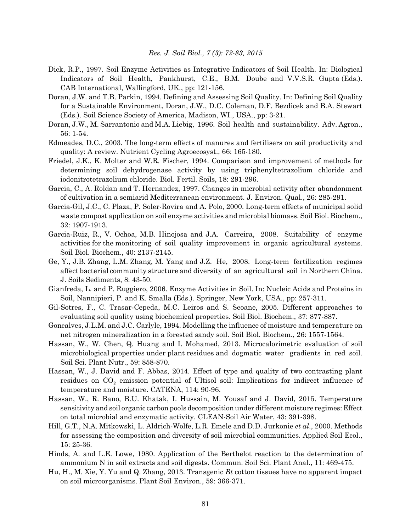- Dick, R.P., 1997. Soil Enzyme Activities as Integrative Indicators of Soil Health. In: Biological Indicators of Soil Health, Pankhurst, C.E., B.M. Doube and V.V.S.R. Gupta (Eds.). CAB International, Wallingford, UK., pp: 121-156.
- Doran, J.W. and T.B. Parkin, 1994. Defining and Assessing Soil Quality. In: Defining Soil Quality for a Sustainable Environment, Doran, J.W., D.C. Coleman, D.F. Bezdicek and B.A. Stewart (Eds.). Soil Science Society of America, Madison, WI., USA., pp: 3-21.
- Doran, J.W., M. Sarrantonio and M.A. Liebig, 1996. Soil health and sustainability. Adv. Agron., 56: 1-54.
- Edmeades, D.C., 2003. The long-term effects of manures and fertilisers on soil productivity and quality: A review. Nutrient Cycling Agroecosyst., 66: 165-180.
- Friedel, J.K., K. Molter and W.R. Fischer, 1994. Comparison and improvement of methods for determining soil dehydrogenase activity by using triphenyltetrazolium chloride and iodonitrotetrazolium chloride. Biol. Fertil. Soils, 18: 291-296.
- Garcia, C., A. Roldan and T. Hernandez, 1997. Changes in microbial activity after abandonment of cultivation in a semiarid Mediterranean environment. J. Environ. Qual., 26: 285-291.
- Garcia-Gil, J.C., C. Plaza, P. Soler-Rovira and A. Polo, 2000. Long-term effects of municipal solid waste compost application on soil enzyme activities and microbial biomass. Soil Biol. Biochem., 32: 1907-1913.
- Garcia-Ruiz, R., V. Ochoa, M.B. Hinojosa and J.A. Carreira, 2008. Suitability of enzyme activities for the monitoring of soil quality improvement in organic agricultural systems. Soil Biol. Biochem., 40: 2137-2145.
- Ge, Y., J.B. Zhang, L.M. Zhang, M. Yang and J.Z. He, 2008. Long-term fertilization regimes affect bacterial community structure and diversity of an agricultural soil in Northern China. J. Soils Sediments, 8: 43-50.
- Gianfreda, L. and P. Ruggiero, 2006. Enzyme Activities in Soil. In: Nucleic Acids and Proteins in Soil, Nannipieri, P. and K. Smalla (Eds.). Springer, New York, USA., pp: 257-311.
- Gil-Sotres, F., C. Trasar-Cepeda, M.C. Leiros and S. Seoane, 2005. Different approaches to evaluating soil quality using biochemical properties. Soil Biol. Biochem., 37: 877-887.
- Goncalves, J.L.M. and J.C. Carlyle, 1994. Modelling the influence of moisture and temperature on net nitrogen mineralization in a forested sandy soil. Soil Biol. Biochem., 26: 1557-1564.
- Hassan, W., W. Chen, Q. Huang and I. Mohamed, 2013. Microcalorimetric evaluation of soil microbiological properties under plant residues and dogmatic water gradients in red soil. Soil Sci. Plant Nutr., 59: 858-870.
- Hassan, W., J. David and F. Abbas, 2014. Effect of type and quality of two contrasting plant residues on CO<sub>2</sub> emission potential of Ultisol soil: Implications for indirect influence of temperature and moisture. CATENA, 114: 90-96.
- Hassan, W., R. Bano, B.U. Khatak, I. Hussain, M. Yousaf and J. David, 2015. Temperature sensitivity and soil organic carbon pools decomposition under different moisture regimes: Effect on total microbial and enzymatic activity. CLEAN-Soil Air Water, 43: 391-398.
- Hill, G.T., N.A. Mitkowski, L. Aldrich-Wolfe, L.R. Emele and D.D. Jurkonie *et al*., 2000. Methods for assessing the composition and diversity of soil microbial communities. Applied Soil Ecol., 15: 25-36.
- Hinds, A. and L.E. Lowe, 1980. Application of the Berthelot reaction to the determination of ammonium N in soil extracts and soil digests. Commun. Soil Sci. Plant Anal., 11: 469-475.
- Hu, H., M. Xie, Y. Yu and Q. Zhang, 2013. Transgenic *Bt* cotton tissues have no apparent impact on soil microorganisms. Plant Soil Environ., 59: 366-371.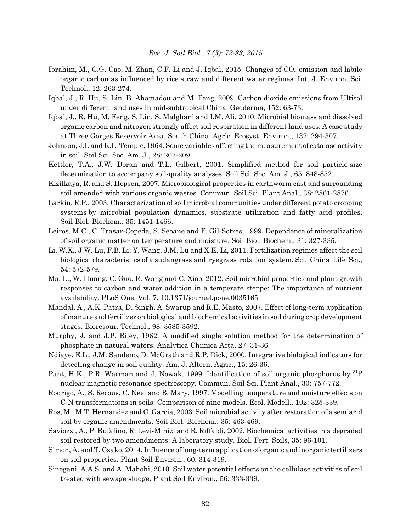- Ibrahim, M., C.G. Cao, M. Zhan, C.F. Li and J. Iqbal, 2015. Changes of  $CO_2$  emission and labile organic carbon as influenced by rice straw and different water regimes. Int. J. Environ. Sci. Technol., 12: 263-274.
- Iqbal, J., R. Hu, S. Lin, B. Ahamadou and M. Feng, 2009. Carbon dioxide emissions from Ultisol under different land uses in mid-subtropical China. Geoderma, 152: 63-73.
- Iqbal, J., R. Hu, M. Feng, S. Lin, S. Malghani and I.M. Ali, 2010. Microbial biomass and dissolved organic carbon and nitrogen strongly affect soil respiration in different land uses: A case study at Three Gorges Reservoir Area, South China. Agric. Ecosyst. Environ., 137: 294-307.
- Johnson, J.I. and K.L. Temple, 1964. Some variables affecting the measurement of catalase activity in soil. Soil Sci. Soc. Am. J., 28: 207-209.
- Kettler, T.A., J.W. Doran and T.L. Gilbert, 2001. Simplified method for soil particle-size determination to accompany soil-quality analyses. Soil Sci. Soc. Am. J., 65: 848-852.
- Kizilkaya, R. and S. Hepsen, 2007. Microbiological properties in earthworm cast and surrounding soil amended with various organic wastes. Commun. Soil Sci. Plant Anal., 38: 2861-2876.
- Larkin, R.P., 2003. Characterization of soil microbial communities under different potato cropping systems by microbial population dynamics, substrate utilization and fatty acid profiles. Soil Biol. Biochem., 35: 1451-1466.
- Leiros, M.C., C. Trasar-Cepeda, S. Seoane and F. Gil-Sotres, 1999. Dependence of mineralization of soil organic matter on temperature and moisture. Soil Biol. Biochem., 31: 327-335.
- Li, W.X., J.W. Lu, F.B. Li, Y. Wang, J.M. Lu and X.K. Li, 2011. Fertilization regimes affect the soil biological characteristics of a sudangrass and ryegrass rotation system. Sci. China Life Sci., 54: 572-579.
- Ma, L., W. Huang, C. Guo, R. Wang and C. Xiao, 2012. Soil microbial properties and plant growth responses to carbon and water addition in a temperate steppe: The importance of nutrient availability. PLoS One, Vol. 7. 10.1371/journal.pone.0035165
- Mandal, A., A.K. Patra, D. Singh, A. Swarup and R.E. Masto, 2007. Effect of long-term application of manure and fertilizer on biological and biochemical activities in soil during crop development stages. Bioresour. Technol., 98: 3585-3592.
- Murphy, J. and J.P. Riley, 1962. A modified single solution method for the determination of phosphate in natural waters. Analytica Chimica Acta, 27: 31-36.
- Ndiaye, E.L., J.M. Sandeno, D. McGrath and R.P. Dick, 2000. Integrative biological indicators for detecting change in soil quality. Am. J. Altern. Agric., 15: 26-36.
- Pant, H.K., P.R. Warman and J. Nowak, 1999. Identification of soil organic phosphorus by <sup>31</sup>P nuclear magnetic resonance spectroscopy. Commun. Soil Sci. Plant Anal., 30: 757-772.
- Rodrigo, A., S. Recous, C. Neel and B. Mary, 1997. Modelling temperature and moisture effects on C-N transformations in soils: Comparison of nine models. Ecol. Modell., 102: 325-339.
- Ros, M., M.T. Hernandez and C. Garcia, 2003. Soil microbial activity after restoration of a semiarid soil by organic amendments. Soil Biol. Biochem., 35: 463-469.
- Saviozzi, A., P. Bufalino, R. Levi-Minizi and R. Riffaldi, 2002. Biochemical activities in a degraded soil restored by two amendments: A laboratory study. Biol. Fert. Soils, 35: 96-101.
- Simon, A. and T. Czako, 2014. Influence of long-term application of organic and inorganic fertilizers on soil properties. Plant Soil Environ., 60: 314-319.
- Sinegani, A.A.S. and A. Mahohi, 2010. Soil water potential effects on the cellulase activities of soil treated with sewage sludge. Plant Soil Environ., 56: 333-339.